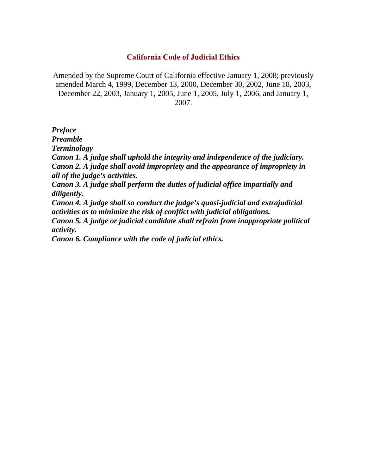# **California Code of Judicial Ethics**

Amended by the Supreme Court of California effective January 1, 2008; previously amended March 4, 1999, December 13, 2000, December 30, 2002, June 18, 2003, December 22, 2003, January 1, 2005, June 1, 2005, July 1, 2006, and January 1, 2007.

*Preface Preamble Terminology Canon 1. A judge shall uphold the integrity and independence of the judiciary. Canon 2. A judge shall avoid impropriety and the appearance of impropriety in all of the judge's activities. Canon 3. A judge shall perform the duties of judicial office impartially and diligently. Canon 4. A judge shall so conduct the judge's quasi-judicial and extrajudicial activities as to minimize the risk of conflict with judicial obligations.* 

*Canon 5. A judge or judicial candidate shall refrain from inappropriate political activity.* 

*Canon 6. Compliance with the code of judicial ethics.*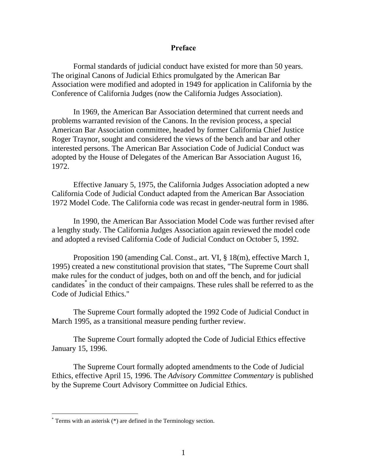#### **Preface**

 Formal standards of judicial conduct have existed for more than 50 years. The original Canons of Judicial Ethics promulgated by the American Bar Association were modified and adopted in 1949 for application in California by the Conference of California Judges (now the California Judges Association).

 In 1969, the American Bar Association determined that current needs and problems warranted revision of the Canons. In the revision process, a special American Bar Association committee, headed by former California Chief Justice Roger Traynor, sought and considered the views of the bench and bar and other interested persons. The American Bar Association Code of Judicial Conduct was adopted by the House of Delegates of the American Bar Association August 16, 1972.

 Effective January 5, 1975, the California Judges Association adopted a new California Code of Judicial Conduct adapted from the American Bar Association 1972 Model Code. The California code was recast in gender-neutral form in 1986.

 In 1990, the American Bar Association Model Code was further revised after a lengthy study. The California Judges Association again reviewed the model code and adopted a revised California Code of Judicial Conduct on October 5, 1992.

 Proposition 190 (amending Cal. Const., art. VI, § 18(m), effective March 1, 1995) created a new constitutional provision that states, "The Supreme Court shall make rules for the conduct of judges, both on and off the bench, and for judicial candidates<sup>\*</sup> in the conduct of their campaigns. These rules shall be referred to as the Code of Judicial Ethics."

 The Supreme Court formally adopted the 1992 Code of Judicial Conduct in March 1995, as a transitional measure pending further review.

 The Supreme Court formally adopted the Code of Judicial Ethics effective January 15, 1996.

 The Supreme Court formally adopted amendments to the Code of Judicial Ethics, effective April 15, 1996. The *Advisory Committee Commentary* is published by the Supreme Court Advisory Committee on Judicial Ethics.

<sup>\*</sup> Terms with an asterisk (\*) are defined in the Terminology section.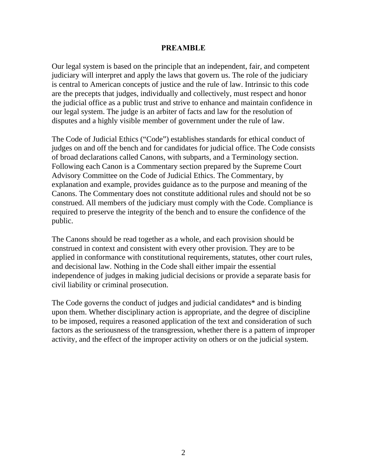## **PREAMBLE**

Our legal system is based on the principle that an independent, fair, and competent judiciary will interpret and apply the laws that govern us. The role of the judiciary is central to American concepts of justice and the rule of law. Intrinsic to this code are the precepts that judges, individually and collectively, must respect and honor the judicial office as a public trust and strive to enhance and maintain confidence in our legal system. The judge is an arbiter of facts and law for the resolution of disputes and a highly visible member of government under the rule of law.

The Code of Judicial Ethics ("Code") establishes standards for ethical conduct of judges on and off the bench and for candidates for judicial office. The Code consists of broad declarations called Canons, with subparts, and a Terminology section. Following each Canon is a Commentary section prepared by the Supreme Court Advisory Committee on the Code of Judicial Ethics. The Commentary, by explanation and example, provides guidance as to the purpose and meaning of the Canons. The Commentary does not constitute additional rules and should not be so construed. All members of the judiciary must comply with the Code. Compliance is required to preserve the integrity of the bench and to ensure the confidence of the public.

The Canons should be read together as a whole, and each provision should be construed in context and consistent with every other provision. They are to be applied in conformance with constitutional requirements, statutes, other court rules, and decisional law. Nothing in the Code shall either impair the essential independence of judges in making judicial decisions or provide a separate basis for civil liability or criminal prosecution.

The Code governs the conduct of judges and judicial candidates\* and is binding upon them. Whether disciplinary action is appropriate, and the degree of discipline to be imposed, requires a reasoned application of the text and consideration of such factors as the seriousness of the transgression, whether there is a pattern of improper activity, and the effect of the improper activity on others or on the judicial system.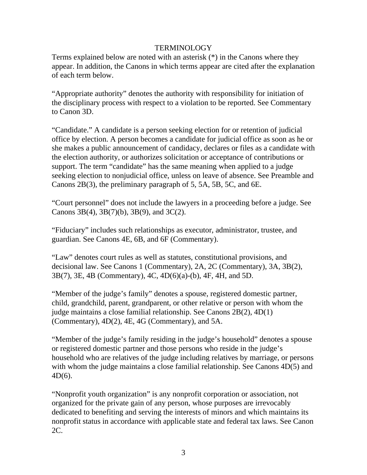# **TERMINOLOGY**

Terms explained below are noted with an asterisk (\*) in the Canons where they appear. In addition, the Canons in which terms appear are cited after the explanation of each term below.

"Appropriate authority" denotes the authority with responsibility for initiation of the disciplinary process with respect to a violation to be reported. See Commentary to Canon 3D.

"Candidate." A candidate is a person seeking election for or retention of judicial office by election. A person becomes a candidate for judicial office as soon as he or she makes a public announcement of candidacy, declares or files as a candidate with the election authority, or authorizes solicitation or acceptance of contributions or support. The term "candidate" has the same meaning when applied to a judge seeking election to nonjudicial office, unless on leave of absence. See Preamble and Canons 2B(3), the preliminary paragraph of 5, 5A, 5B, 5C, and 6E.

"Court personnel" does not include the lawyers in a proceeding before a judge. See Canons  $3B(4)$ ,  $3B(7)(b)$ ,  $3B(9)$ , and  $3C(2)$ .

"Fiduciary" includes such relationships as executor, administrator, trustee, and guardian. See Canons 4E, 6B, and 6F (Commentary).

"Law" denotes court rules as well as statutes, constitutional provisions, and decisional law. See Canons 1 (Commentary), 2A, 2C (Commentary), 3A, 3B(2), 3B(7), 3E, 4B (Commentary), 4C, 4D(6)(a)-(b), 4F, 4H, and 5D.

"Member of the judge's family" denotes a spouse, registered domestic partner, child, grandchild, parent, grandparent, or other relative or person with whom the judge maintains a close familial relationship. See Canons 2B(2), 4D(1) (Commentary), 4D(2), 4E, 4G (Commentary), and 5A.

"Member of the judge's family residing in the judge's household" denotes a spouse or registered domestic partner and those persons who reside in the judge's household who are relatives of the judge including relatives by marriage, or persons with whom the judge maintains a close familial relationship. See Canons 4D(5) and 4D(6).

"Nonprofit youth organization" is any nonprofit corporation or association, not organized for the private gain of any person, whose purposes are irrevocably dedicated to benefiting and serving the interests of minors and which maintains its nonprofit status in accordance with applicable state and federal tax laws. See Canon 2C.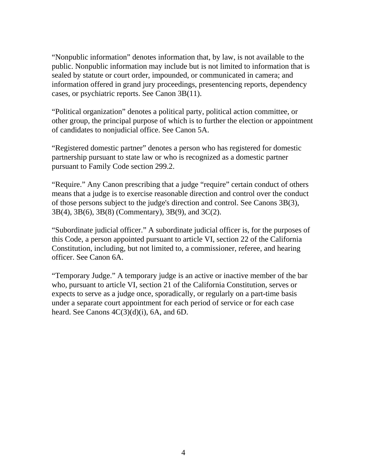"Nonpublic information" denotes information that, by law, is not available to the public. Nonpublic information may include but is not limited to information that is sealed by statute or court order, impounded, or communicated in camera; and information offered in grand jury proceedings, presentencing reports, dependency cases, or psychiatric reports. See Canon 3B(11).

"Political organization" denotes a political party, political action committee, or other group, the principal purpose of which is to further the election or appointment of candidates to nonjudicial office. See Canon 5A.

"Registered domestic partner" denotes a person who has registered for domestic partnership pursuant to state law or who is recognized as a domestic partner pursuant to Family Code section 299.2.

"Require." Any Canon prescribing that a judge "require" certain conduct of others means that a judge is to exercise reasonable direction and control over the conduct of those persons subject to the judge's direction and control. See Canons 3B(3), 3B(4), 3B(6), 3B(8) (Commentary), 3B(9), and 3C(2).

"Subordinate judicial officer." A subordinate judicial officer is, for the purposes of this Code, a person appointed pursuant to article VI, section 22 of the California Constitution, including, but not limited to, a commissioner, referee, and hearing officer. See Canon 6A.

"Temporary Judge." A temporary judge is an active or inactive member of the bar who, pursuant to article VI, section 21 of the California Constitution, serves or expects to serve as a judge once, sporadically, or regularly on a part-time basis under a separate court appointment for each period of service or for each case heard. See Canons  $4C(3)(d)(i)$ , 6A, and 6D.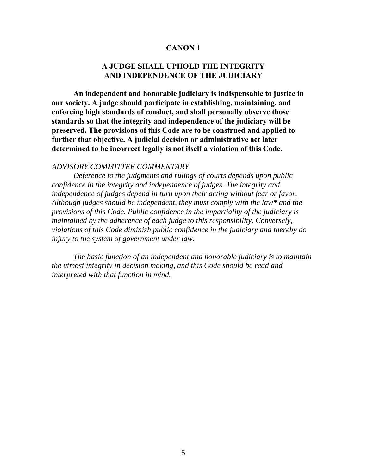#### **CANON 1**

# **A JUDGE SHALL UPHOLD THE INTEGRITY AND INDEPENDENCE OF THE JUDICIARY**

 **An independent and honorable judiciary is indispensable to justice in our society. A judge should participate in establishing, maintaining, and enforcing high standards of conduct, and shall personally observe those standards so that the integrity and independence of the judiciary will be preserved. The provisions of this Code are to be construed and applied to further that objective. A judicial decision or administrative act later determined to be incorrect legally is not itself a violation of this Code.** 

#### *ADVISORY COMMITTEE COMMENTARY*

 *Deference to the judgments and rulings of courts depends upon public confidence in the integrity and independence of judges. The integrity and independence of judges depend in turn upon their acting without fear or favor. Although judges should be independent, they must comply with the law\* and the provisions of this Code. Public confidence in the impartiality of the judiciary is maintained by the adherence of each judge to this responsibility. Conversely, violations of this Code diminish public confidence in the judiciary and thereby do injury to the system of government under law.* 

 *The basic function of an independent and honorable judiciary is to maintain the utmost integrity in decision making, and this Code should be read and interpreted with that function in mind.*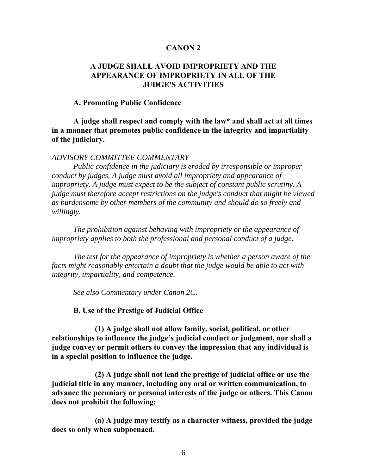## **CANON 2**

# **A JUDGE SHALL AVOID IMPROPRIETY AND THE APPEARANCE OF IMPROPRIETY IN ALL OF THE JUDGE'S ACTIVITIES**

## **A. Promoting Public Confidence**

 **A judge shall respect and comply with the law\* and shall act at all times in a manner that promotes public confidence in the integrity and impartiality of the judiciary.**

#### *ADVISORY COMMITTEE COMMENTARY*

 *Public confidence in the judiciary is eroded by irresponsible or improper conduct by judges. A judge must avoid all impropriety and appearance of impropriety. A judge must expect to be the subject of constant public scrutiny. A judge must therefore accept restrictions on the judge's conduct that might be viewed as burdensome by other members of the community and should do so freely and willingly.* 

 *The prohibition against behaving with impropriety or the appearance of impropriety applies to both the professional and personal conduct of a judge.* 

 *The test for the appearance of impropriety is whether a person aware of the facts might reasonably entertain a doubt that the judge would be able to act with integrity, impartiality, and competence.* 

 *See also Commentary under Canon 2C.* 

#### **B. Use of the Prestige of Judicial Office**

 **(1) A judge shall not allow family, social, political, or other relationships to influence the judge's judicial conduct or judgment, nor shall a judge convey or permit others to convey the impression that any individual is in a special position to influence the judge.** 

 **(2) A judge shall not lend the prestige of judicial office or use the judicial title in any manner, including any oral or written communication, to advance the pecuniary or personal interests of the judge or others. This Canon does not prohibit the following:** 

 **(a) A judge may testify as a character witness, provided the judge does so only when subpoenaed.**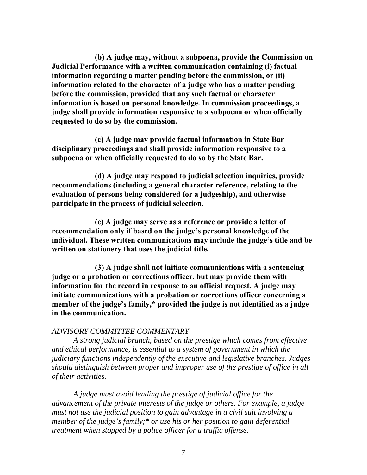**(b) A judge may, without a subpoena, provide the Commission on Judicial Performance with a written communication containing (i) factual information regarding a matter pending before the commission, or (ii) information related to the character of a judge who has a matter pending before the commission, provided that any such factual or character information is based on personal knowledge. In commission proceedings, a judge shall provide information responsive to a subpoena or when officially requested to do so by the commission.** 

 **(c) A judge may provide factual information in State Bar disciplinary proceedings and shall provide information responsive to a subpoena or when officially requested to do so by the State Bar.** 

 **(d) A judge may respond to judicial selection inquiries, provide recommendations (including a general character reference, relating to the evaluation of persons being considered for a judgeship), and otherwise participate in the process of judicial selection.** 

 **(e) A judge may serve as a reference or provide a letter of recommendation only if based on the judge's personal knowledge of the individual. These written communications may include the judge's title and be written on stationery that uses the judicial title.** 

 **(3) A judge shall not initiate communications with a sentencing judge or a probation or corrections officer, but may provide them with information for the record in response to an official request. A judge may initiate communications with a probation or corrections officer concerning a member of the judge's family,\* provided the judge is not identified as a judge in the communication.** 

### *ADVISORY COMMITTEE COMMENTARY*

 *A strong judicial branch, based on the prestige which comes from effective and ethical performance, is essential to a system of government in which the judiciary functions independently of the executive and legislative branches. Judges should distinguish between proper and improper use of the prestige of office in all of their activities.* 

 *A judge must avoid lending the prestige of judicial office for the advancement of the private interests of the judge or others. For example, a judge must not use the judicial position to gain advantage in a civil suit involving a member of the judge's family;\* or use his or her position to gain deferential treatment when stopped by a police officer for a traffic offense.*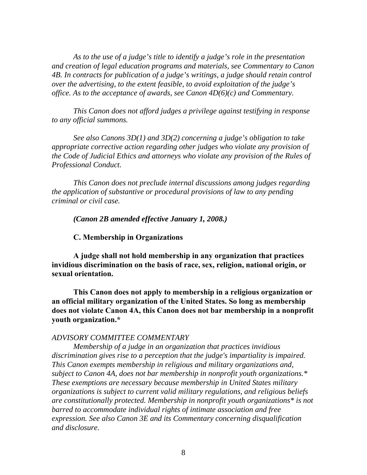*As to the use of a judge's title to identify a judge's role in the presentation and creation of legal education programs and materials, see Commentary to Canon 4B. In contracts for publication of a judge's writings, a judge should retain control over the advertising, to the extent feasible, to avoid exploitation of the judge's office. As to the acceptance of awards, see Canon 4D(6)(c) and Commentary.* 

 *This Canon does not afford judges a privilege against testifying in response to any official summons.* 

 *See also Canons 3D(1) and 3D(2) concerning a judge's obligation to take appropriate corrective action regarding other judges who violate any provision of the Code of Judicial Ethics and attorneys who violate any provision of the Rules of Professional Conduct.* 

 *This Canon does not preclude internal discussions among judges regarding the application of substantive or procedural provisions of law to any pending criminal or civil case.*

*(Canon 2B amended effective January 1, 2008.)* 

## **C. Membership in Organizations**

 **A judge shall not hold membership in any organization that practices invidious discrimination on the basis of race, sex, religion, national origin, or sexual orientation.** 

 **This Canon does not apply to membership in a religious organization or an official military organization of the United States. So long as membership does not violate Canon 4A, this Canon does not bar membership in a nonprofit youth organization.\***

#### *ADVISORY COMMITTEE COMMENTARY*

 *Membership of a judge in an organization that practices invidious discrimination gives rise to a perception that the judge's impartiality is impaired. This Canon exempts membership in religious and military organizations and, subject to Canon 4A, does not bar membership in nonprofit youth organizations.\* These exemptions are necessary because membership in United States military organizations is subject to current valid military regulations, and religious beliefs are constitutionally protected. Membership in nonprofit youth organizations\* is not barred to accommodate individual rights of intimate association and free expression. See also Canon 3E and its Commentary concerning disqualification and disclosure.*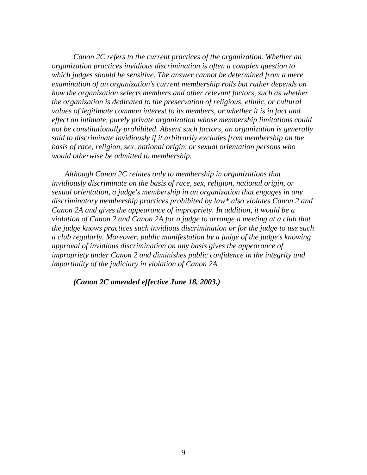*Canon 2C refers to the current practices of the organization. Whether an organization practices invidious discrimination is often a complex question to which judges should be sensitive. The answer cannot be determined from a mere examination of an organization's current membership rolls but rather depends on how the organization selects members and other relevant factors, such as whether the organization is dedicated to the preservation of religious, ethnic, or cultural values of legitimate common interest to its members, or whether it is in fact and effect an intimate, purely private organization whose membership limitations could not be constitutionally prohibited. Absent such factors, an organization is generally said to discriminate invidiously if it arbitrarily excludes from membership on the basis of race, religion, sex, national origin, or sexual orientation persons who would otherwise be admitted to membership.* 

 *Although Canon 2C relates only to membership in organizations that invidiously discriminate on the basis of race, sex, religion, national origin, or sexual orientation, a judge's membership in an organization that engages in any discriminatory membership practices prohibited by law\* also violates Canon 2 and Canon 2A and gives the appearance of impropriety. In addition, it would be a violation of Canon 2 and Canon 2A for a judge to arrange a meeting at a club that the judge knows practices such invidious discrimination or for the judge to use such a club regularly. Moreover, public manifestation by a judge of the judge's knowing approval of invidious discrimination on any basis gives the appearance of impropriety under Canon 2 and diminishes public confidence in the integrity and impartiality of the judiciary in violation of Canon 2A.* 

*(Canon 2C amended effective June 18, 2003.)*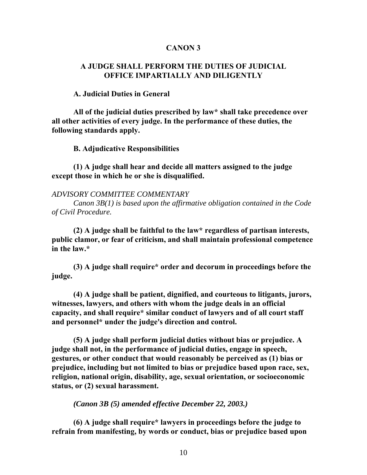### **CANON 3**

# **A JUDGE SHALL PERFORM THE DUTIES OF JUDICIAL OFFICE IMPARTIALLY AND DILIGENTLY**

### **A. Judicial Duties in General**

**All of the judicial duties prescribed by law\* shall take precedence over all other activities of every judge. In the performance of these duties, the following standards apply.** 

**B. Adjudicative Responsibilities** 

**(1) A judge shall hear and decide all matters assigned to the judge except those in which he or she is disqualified.**

#### *ADVISORY COMMITTEE COMMENTARY*

*Canon 3B(1) is based upon the affirmative obligation contained in the Code of Civil Procedure.* 

**(2) A judge shall be faithful to the law\* regardless of partisan interests, public clamor, or fear of criticism, and shall maintain professional competence in the law.\*** 

**(3) A judge shall require\* order and decorum in proceedings before the judge.** 

**(4) A judge shall be patient, dignified, and courteous to litigants, jurors, witnesses, lawyers, and others with whom the judge deals in an official capacity, and shall require\* similar conduct of lawyers and of all court staff and personnel\* under the judge's direction and control.** 

**(5) A judge shall perform judicial duties without bias or prejudice. A judge shall not, in the performance of judicial duties, engage in speech, gestures, or other conduct that would reasonably be perceived as (1) bias or prejudice, including but not limited to bias or prejudice based upon race, sex, religion, national origin, disability, age, sexual orientation, or socioeconomic status, or (2) sexual harassment.** 

*(Canon 3B (5) amended effective December 22, 2003.)* 

**(6) A judge shall require\* lawyers in proceedings before the judge to refrain from manifesting, by words or conduct, bias or prejudice based upon**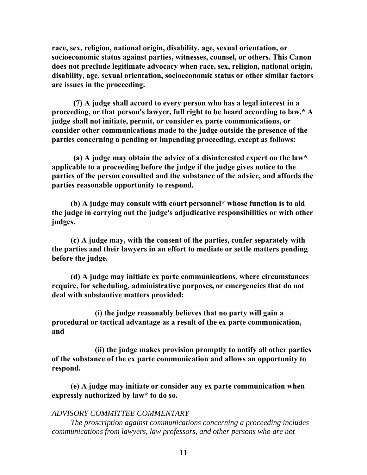**race, sex, religion, national origin, disability, age, sexual orientation, or socioeconomic status against parties, witnesses, counsel, or others. This Canon does not preclude legitimate advocacy when race, sex, religion, national origin, disability, age, sexual orientation, socioeconomic status or other similar factors are issues in the proceeding.** 

**(7) A judge shall accord to every person who has a legal interest in a proceeding, or that person's lawyer, full right to be heard according to law.\* A judge shall not initiate, permit, or consider ex parte communications, or consider other communications made to the judge outside the presence of the parties concerning a pending or impending proceeding, except as follows:**

**(a) A judge may obtain the advice of a disinterested expert on the law\* applicable to a proceeding before the judge if the judge gives notice to the parties of the person consulted and the substance of the advice, and affords the parties reasonable opportunity to respond.** 

**(b) A judge may consult with court personnel\* whose function is to aid the judge in carrying out the judge's adjudicative responsibilities or with other judges.** 

**(c) A judge may, with the consent of the parties, confer separately with the parties and their lawyers in an effort to mediate or settle matters pending before the judge.** 

**(d) A judge may initiate ex parte communications, where circumstances require, for scheduling, administrative purposes, or emergencies that do not deal with substantive matters provided:** 

 **(i) the judge reasonably believes that no party will gain a procedural or tactical advantage as a result of the ex parte communication, and** 

 **(ii) the judge makes provision promptly to notify all other parties of the substance of the ex parte communication and allows an opportunity to respond.** 

**(e) A judge may initiate or consider any ex parte communication when expressly authorized by law\* to do so.** 

### *ADVISORY COMMITTEE COMMENTARY*

*The proscription against communications concerning a proceeding includes communications from lawyers, law professors, and other persons who are not*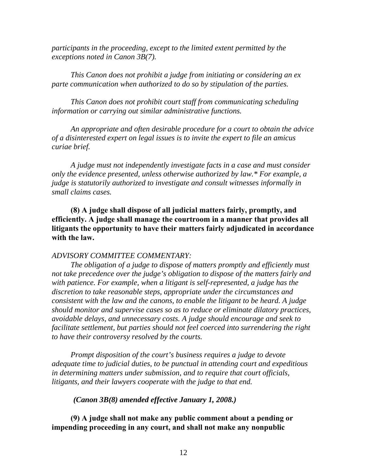*participants in the proceeding, except to the limited extent permitted by the exceptions noted in Canon 3B(7).* 

*This Canon does not prohibit a judge from initiating or considering an ex parte communication when authorized to do so by stipulation of the parties.* 

*This Canon does not prohibit court staff from communicating scheduling information or carrying out similar administrative functions.* 

*An appropriate and often desirable procedure for a court to obtain the advice of a disinterested expert on legal issues is to invite the expert to file an amicus curiae brief.* 

*A judge must not independently investigate facts in a case and must consider only the evidence presented, unless otherwise authorized by law.\* For example, a judge is statutorily authorized to investigate and consult witnesses informally in small claims cases.*

**(8) A judge shall dispose of all judicial matters fairly, promptly, and efficiently. A judge shall manage the courtroom in a manner that provides all litigants the opportunity to have their matters fairly adjudicated in accordance with the law.** 

#### *ADVISORY COMMITTEE COMMENTARY:*

*The obligation of a judge to dispose of matters promptly and efficiently must not take precedence over the judge's obligation to dispose of the matters fairly and with patience. For example, when a litigant is self-represented, a judge has the discretion to take reasonable steps, appropriate under the circumstances and consistent with the law and the canons, to enable the litigant to be heard. A judge should monitor and supervise cases so as to reduce or eliminate dilatory practices, avoidable delays, and unnecessary costs. A judge should encourage and seek to facilitate settlement, but parties should not feel coerced into surrendering the right to have their controversy resolved by the courts.* 

*Prompt disposition of the court's business requires a judge to devote adequate time to judicial duties, to be punctual in attending court and expeditious in determining matters under submission, and to require that court officials, litigants, and their lawyers cooperate with the judge to that end.* 

*(Canon 3B(8) amended effective January 1, 2008.)* 

**(9) A judge shall not make any public comment about a pending or impending proceeding in any court, and shall not make any nonpublic**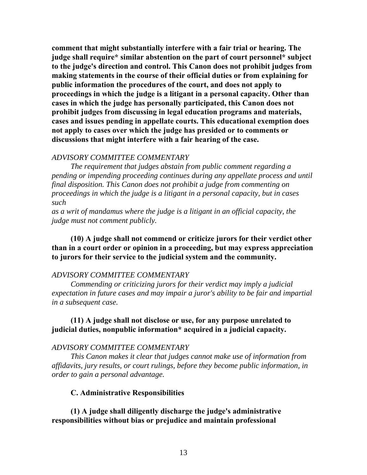**comment that might substantially interfere with a fair trial or hearing. The judge shall require\* similar abstention on the part of court personnel\* subject to the judge's direction and control. This Canon does not prohibit judges from making statements in the course of their official duties or from explaining for public information the procedures of the court, and does not apply to proceedings in which the judge is a litigant in a personal capacity. Other than cases in which the judge has personally participated, this Canon does not prohibit judges from discussing in legal education programs and materials, cases and issues pending in appellate courts. This educational exemption does not apply to cases over which the judge has presided or to comments or discussions that might interfere with a fair hearing of the case.** 

#### *ADVISORY COMMITTEE COMMENTARY*

*The requirement that judges abstain from public comment regarding a pending or impending proceeding continues during any appellate process and until final disposition. This Canon does not prohibit a judge from commenting on proceedings in which the judge is a litigant in a personal capacity, but in cases such* 

*as a writ of mandamus where the judge is a litigant in an official capacity, the judge must not comment publicly.* 

# **(10) A judge shall not commend or criticize jurors for their verdict other than in a court order or opinion in a proceeding, but may express appreciation to jurors for their service to the judicial system and the community.**

#### *ADVISORY COMMITTEE COMMENTARY*

*Commending or criticizing jurors for their verdict may imply a judicial expectation in future cases and may impair a juror's ability to be fair and impartial in a subsequent case.*

# **(11) A judge shall not disclose or use, for any purpose unrelated to judicial duties, nonpublic information\* acquired in a judicial capacity.**

#### *ADVISORY COMMITTEE COMMENTARY*

*This Canon makes it clear that judges cannot make use of information from affidavits, jury results, or court rulings, before they become public information, in order to gain a personal advantage.* 

#### **C. Administrative Responsibilities**

**(1) A judge shall diligently discharge the judge's administrative responsibilities without bias or prejudice and maintain professional**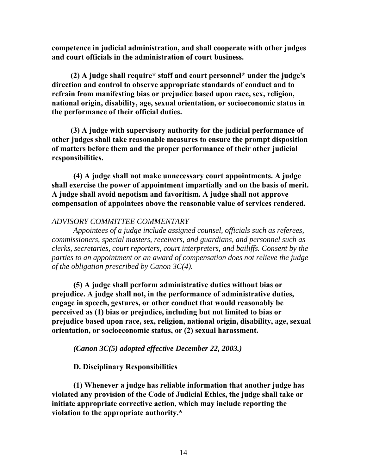**competence in judicial administration, and shall cooperate with other judges and court officials in the administration of court business.** 

**(2) A judge shall require\* staff and court personnel\* under the judge's direction and control to observe appropriate standards of conduct and to refrain from manifesting bias or prejudice based upon race, sex, religion, national origin, disability, age, sexual orientation, or socioeconomic status in the performance of their official duties.** 

**(3) A judge with supervisory authority for the judicial performance of other judges shall take reasonable measures to ensure the prompt disposition of matters before them and the proper performance of their other judicial responsibilities.** 

**(4) A judge shall not make unnecessary court appointments. A judge shall exercise the power of appointment impartially and on the basis of merit. A judge shall avoid nepotism and favoritism. A judge shall not approve compensation of appointees above the reasonable value of services rendered.** 

# *ADVISORY COMMITTEE COMMENTARY*

*Appointees of a judge include assigned counsel, officials such as referees, commissioners, special masters, receivers, and guardians, and personnel such as clerks, secretaries, court reporters, court interpreters, and bailiffs. Consent by the parties to an appointment or an award of compensation does not relieve the judge of the obligation prescribed by Canon 3C(4).*

**(5) A judge shall perform administrative duties without bias or prejudice. A judge shall not, in the performance of administrative duties, engage in speech, gestures, or other conduct that would reasonably be perceived as (1) bias or prejudice, including but not limited to bias or prejudice based upon race, sex, religion, national origin, disability, age, sexual orientation, or socioeconomic status, or (2) sexual harassment.** 

### *(Canon 3C(5) adopted effective December 22, 2003.)*

### **D. Disciplinary Responsibilities**

**(1) Whenever a judge has reliable information that another judge has violated any provision of the Code of Judicial Ethics, the judge shall take or initiate appropriate corrective action, which may include reporting the violation to the appropriate authority.\***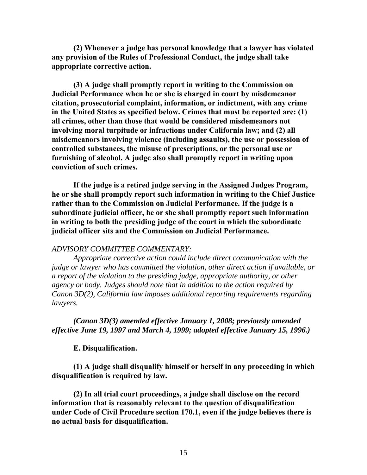**(2) Whenever a judge has personal knowledge that a lawyer has violated any provision of the Rules of Professional Conduct, the judge shall take appropriate corrective action.** 

**(3) A judge shall promptly report in writing to the Commission on Judicial Performance when he or she is charged in court by misdemeanor citation, prosecutorial complaint, information, or indictment, with any crime in the United States as specified below. Crimes that must be reported are: (1) all crimes, other than those that would be considered misdemeanors not involving moral turpitude or infractions under California law; and (2) all misdemeanors involving violence (including assaults), the use or possession of controlled substances, the misuse of prescriptions, or the personal use or furnishing of alcohol. A judge also shall promptly report in writing upon conviction of such crimes.** 

**If the judge is a retired judge serving in the Assigned Judges Program, he or she shall promptly report such information in writing to the Chief Justice rather than to the Commission on Judicial Performance. If the judge is a subordinate judicial officer, he or she shall promptly report such information in writing to both the presiding judge of the court in which the subordinate judicial officer sits and the Commission on Judicial Performance.** 

#### *ADVISORY COMMITTEE COMMENTARY:*

*Appropriate corrective action could include direct communication with the judge or lawyer who has committed the violation, other direct action if available, or a report of the violation to the presiding judge, appropriate authority, or other agency or body. Judges should note that in addition to the action required by Canon 3D(2), California law imposes additional reporting requirements regarding lawyers.* 

# *(Canon 3D(3) amended effective January 1, 2008; previously amended effective June 19, 1997 and March 4, 1999; adopted effective January 15, 1996.)*

#### **E. Disqualification.**

**(1) A judge shall disqualify himself or herself in any proceeding in which disqualification is required by law.** 

**(2) In all trial court proceedings, a judge shall disclose on the record information that is reasonably relevant to the question of disqualification under Code of Civil Procedure section 170.1, even if the judge believes there is no actual basis for disqualification.**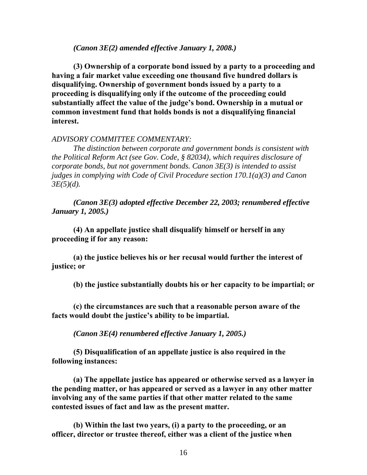*(Canon 3E(2) amended effective January 1, 2008.)* 

**(3) Ownership of a corporate bond issued by a party to a proceeding and having a fair market value exceeding one thousand five hundred dollars is disqualifying. Ownership of government bonds issued by a party to a proceeding is disqualifying only if the outcome of the proceeding could substantially affect the value of the judge's bond. Ownership in a mutual or common investment fund that holds bonds is not a disqualifying financial interest.** 

#### *ADVISORY COMMITTEE COMMENTARY:*

*The distinction between corporate and government bonds is consistent with the Political Reform Act (see Gov. Code, § 82034), which requires disclosure of corporate bonds, but not government bonds. Canon 3E(3) is intended to assist judges in complying with Code of Civil Procedure section 170.1(a)(3) and Canon 3E(5)(d).*

*(Canon 3E(3) adopted effective December 22, 2003; renumbered effective January 1, 2005.)*

**(4) An appellate justice shall disqualify himself or herself in any proceeding if for any reason:** 

**(a) the justice believes his or her recusal would further the interest of justice; or** 

**(b) the justice substantially doubts his or her capacity to be impartial; or** 

**(c) the circumstances are such that a reasonable person aware of the facts would doubt the justice's ability to be impartial.** 

*(Canon 3E(4) renumbered effective January 1, 2005.)* 

**(5) Disqualification of an appellate justice is also required in the following instances:** 

**(a) The appellate justice has appeared or otherwise served as a lawyer in the pending matter, or has appeared or served as a lawyer in any other matter involving any of the same parties if that other matter related to the same contested issues of fact and law as the present matter.** 

**(b) Within the last two years, (i) a party to the proceeding, or an officer, director or trustee thereof, either was a client of the justice when**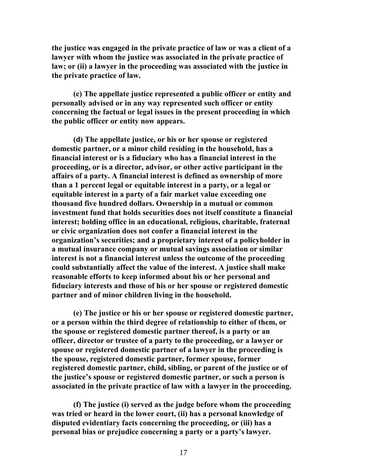**the justice was engaged in the private practice of law or was a client of a lawyer with whom the justice was associated in the private practice of law; or (ii) a lawyer in the proceeding was associated with the justice in the private practice of law.** 

**(c) The appellate justice represented a public officer or entity and personally advised or in any way represented such officer or entity concerning the factual or legal issues in the present proceeding in which the public officer or entity now appears.** 

**(d) The appellate justice, or his or her spouse or registered domestic partner, or a minor child residing in the household, has a financial interest or is a fiduciary who has a financial interest in the proceeding, or is a director, advisor, or other active participant in the affairs of a party. A financial interest is defined as ownership of more than a 1 percent legal or equitable interest in a party, or a legal or equitable interest in a party of a fair market value exceeding one thousand five hundred dollars. Ownership in a mutual or common investment fund that holds securities does not itself constitute a financial interest; holding office in an educational, religious, charitable, fraternal or civic organization does not confer a financial interest in the organization's securities; and a proprietary interest of a policyholder in a mutual insurance company or mutual savings association or similar interest is not a financial interest unless the outcome of the proceeding could substantially affect the value of the interest. A justice shall make reasonable efforts to keep informed about his or her personal and fiduciary interests and those of his or her spouse or registered domestic partner and of minor children living in the household.** 

**(e) The justice or his or her spouse or registered domestic partner, or a person within the third degree of relationship to either of them, or the spouse or registered domestic partner thereof, is a party or an officer, director or trustee of a party to the proceeding, or a lawyer or spouse or registered domestic partner of a lawyer in the proceeding is the spouse, registered domestic partner, former spouse, former registered domestic partner, child, sibling, or parent of the justice or of the justice's spouse or registered domestic partner, or such a person is associated in the private practice of law with a lawyer in the proceeding.** 

**(f) The justice (i) served as the judge before whom the proceeding was tried or heard in the lower court, (ii) has a personal knowledge of disputed evidentiary facts concerning the proceeding, or (iii) has a personal bias or prejudice concerning a party or a party's lawyer.**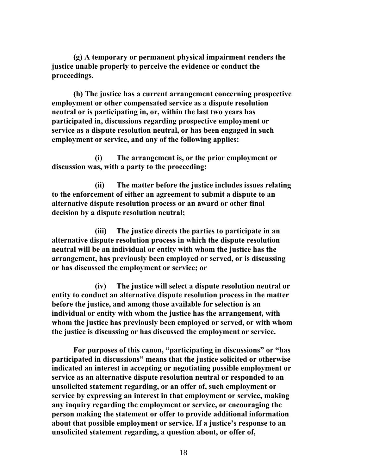**(g) A temporary or permanent physical impairment renders the justice unable properly to perceive the evidence or conduct the proceedings.** 

**(h) The justice has a current arrangement concerning prospective employment or other compensated service as a dispute resolution neutral or is participating in, or, within the last two years has participated in, discussions regarding prospective employment or service as a dispute resolution neutral, or has been engaged in such employment or service, and any of the following applies:** 

**(i) The arrangement is, or the prior employment or discussion was, with a party to the proceeding;** 

 **(ii) The matter before the justice includes issues relating to the enforcement of either an agreement to submit a dispute to an alternative dispute resolution process or an award or other final decision by a dispute resolution neutral;** 

 **(iii) The justice directs the parties to participate in an alternative dispute resolution process in which the dispute resolution neutral will be an individual or entity with whom the justice has the arrangement, has previously been employed or served, or is discussing or has discussed the employment or service; or** 

 **(iv) The justice will select a dispute resolution neutral or entity to conduct an alternative dispute resolution process in the matter before the justice, and among those available for selection is an individual or entity with whom the justice has the arrangement, with whom the justice has previously been employed or served, or with whom the justice is discussing or has discussed the employment or service.** 

**For purposes of this canon, "participating in discussions" or "has participated in discussions" means that the justice solicited or otherwise indicated an interest in accepting or negotiating possible employment or service as an alternative dispute resolution neutral or responded to an unsolicited statement regarding, or an offer of, such employment or service by expressing an interest in that employment or service, making any inquiry regarding the employment or service, or encouraging the person making the statement or offer to provide additional information about that possible employment or service. If a justice's response to an unsolicited statement regarding, a question about, or offer of,**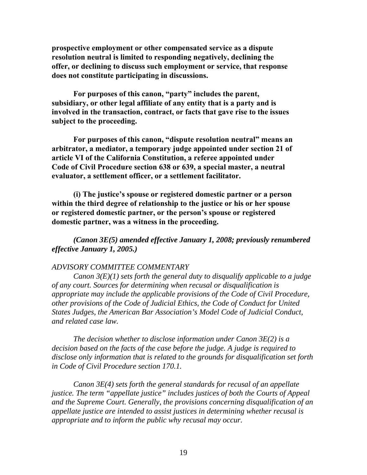**prospective employment or other compensated service as a dispute resolution neutral is limited to responding negatively, declining the offer, or declining to discuss such employment or service, that response does not constitute participating in discussions.** 

**For purposes of this canon, "party" includes the parent, subsidiary, or other legal affiliate of any entity that is a party and is involved in the transaction, contract, or facts that gave rise to the issues subject to the proceeding.** 

**For purposes of this canon, "dispute resolution neutral" means an arbitrator, a mediator, a temporary judge appointed under section 21 of article VI of the California Constitution, a referee appointed under Code of Civil Procedure section 638 or 639, a special master, a neutral evaluator, a settlement officer, or a settlement facilitator.** 

**(i) The justice's spouse or registered domestic partner or a person within the third degree of relationship to the justice or his or her spouse or registered domestic partner, or the person's spouse or registered domestic partner, was a witness in the proceeding.** 

*(Canon 3E(5) amended effective January 1, 2008; previously renumbered effective January 1, 2005.)* 

## *ADVISORY COMMITTEE COMMENTARY*

*Canon 3(E)(1) sets forth the general duty to disqualify applicable to a judge of any court. Sources for determining when recusal or disqualification is appropriate may include the applicable provisions of the Code of Civil Procedure, other provisions of the Code of Judicial Ethics, the Code of Conduct for United States Judges, the American Bar Association's Model Code of Judicial Conduct, and related case law.* 

*The decision whether to disclose information under Canon 3E(2) is a decision based on the facts of the case before the judge. A judge is required to disclose only information that is related to the grounds for disqualification set forth in Code of Civil Procedure section 170.1.* 

*Canon 3E(4) sets forth the general standards for recusal of an appellate justice. The term "appellate justice" includes justices of both the Courts of Appeal and the Supreme Court. Generally, the provisions concerning disqualification of an appellate justice are intended to assist justices in determining whether recusal is appropriate and to inform the public why recusal may occur.*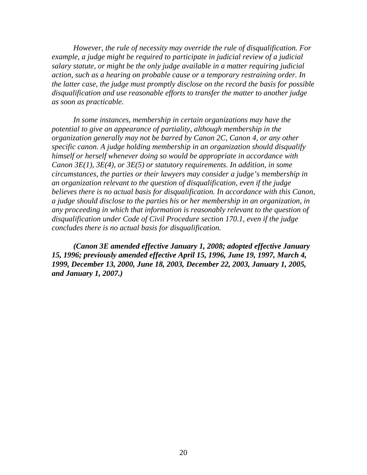*However, the rule of necessity may override the rule of disqualification. For example, a judge might be required to participate in judicial review of a judicial salary statute, or might be the only judge available in a matter requiring judicial action, such as a hearing on probable cause or a temporary restraining order. In the latter case, the judge must promptly disclose on the record the basis for possible disqualification and use reasonable efforts to transfer the matter to another judge as soon as practicable.* 

*In some instances, membership in certain organizations may have the potential to give an appearance of partiality, although membership in the organization generally may not be barred by Canon 2C, Canon 4, or any other specific canon. A judge holding membership in an organization should disqualify himself or herself whenever doing so would be appropriate in accordance with Canon 3E(1), 3E(4), or 3E(5) or statutory requirements. In addition, in some circumstances, the parties or their lawyers may consider a judge's membership in an organization relevant to the question of disqualification, even if the judge believes there is no actual basis for disqualification. In accordance with this Canon, a judge should disclose to the parties his or her membership in an organization, in any proceeding in which that information is reasonably relevant to the question of disqualification under Code of Civil Procedure section 170.1, even if the judge concludes there is no actual basis for disqualification.* 

*(Canon 3E amended effective January 1, 2008; adopted effective January 15, 1996; previously amended effective April 15, 1996, June 19, 1997, March 4, 1999, December 13, 2000, June 18, 2003, December 22, 2003, January 1, 2005, and January 1, 2007.)*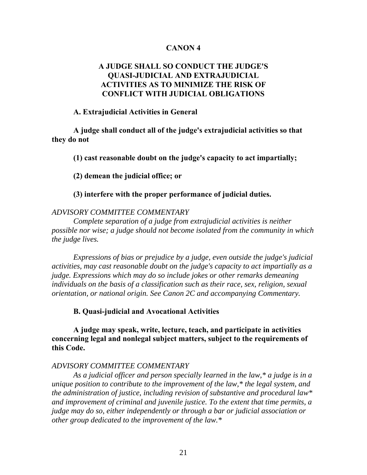# **CANON 4**

# **A JUDGE SHALL SO CONDUCT THE JUDGE'S QUASI-JUDICIAL AND EXTRAJUDICIAL ACTIVITIES AS TO MINIMIZE THE RISK OF CONFLICT WITH JUDICIAL OBLIGATIONS**

## **A. Extrajudicial Activities in General**

 **A judge shall conduct all of the judge's extrajudicial activities so that they do not** 

 **(1) cast reasonable doubt on the judge's capacity to act impartially;** 

 **(2) demean the judicial office; or** 

 **(3) interfere with the proper performance of judicial duties.**

## *ADVISORY COMMITTEE COMMENTARY*

 *Complete separation of a judge from extrajudicial activities is neither possible nor wise; a judge should not become isolated from the community in which the judge lives.* 

 *Expressions of bias or prejudice by a judge, even outside the judge's judicial activities, may cast reasonable doubt on the judge's capacity to act impartially as a judge. Expressions which may do so include jokes or other remarks demeaning individuals on the basis of a classification such as their race, sex, religion, sexual orientation, or national origin. See Canon 2C and accompanying Commentary.* 

## **B. Quasi-judicial and Avocational Activities**

 **A judge may speak, write, lecture, teach, and participate in activities concerning legal and nonlegal subject matters, subject to the requirements of this Code.** 

#### *ADVISORY COMMITTEE COMMENTARY*

 *As a judicial officer and person specially learned in the law,\* a judge is in a unique position to contribute to the improvement of the law,\* the legal system, and the administration of justice, including revision of substantive and procedural law\* and improvement of criminal and juvenile justice. To the extent that time permits, a judge may do so, either independently or through a bar or judicial association or other group dedicated to the improvement of the law.\**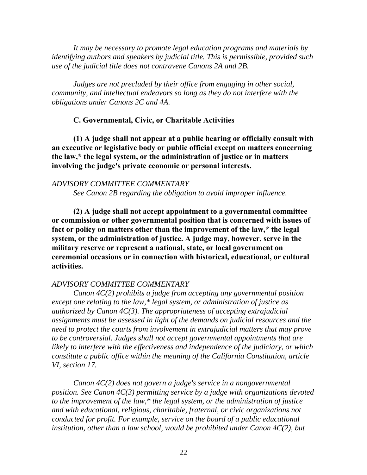*It may be necessary to promote legal education programs and materials by identifying authors and speakers by judicial title. This is permissible, provided such use of the judicial title does not contravene Canons 2A and 2B.* 

 *Judges are not precluded by their office from engaging in other social, community, and intellectual endeavors so long as they do not interfere with the obligations under Canons 2C and 4A.* 

### **C. Governmental, Civic, or Charitable Activities**

 **(1) A judge shall not appear at a public hearing or officially consult with an executive or legislative body or public official except on matters concerning the law,\* the legal system, or the administration of justice or in matters involving the judge's private economic or personal interests.**

#### *ADVISORY COMMITTEE COMMENTARY*

 *See Canon 2B regarding the obligation to avoid improper influence.* 

 **(2) A judge shall not accept appointment to a governmental committee or commission or other governmental position that is concerned with issues of fact or policy on matters other than the improvement of the law,\* the legal system, or the administration of justice. A judge may, however, serve in the military reserve or represent a national, state, or local government on ceremonial occasions or in connection with historical, educational, or cultural activities.** 

### *ADVISORY COMMITTEE COMMENTARY*

 *Canon 4C(2) prohibits a judge from accepting any governmental position except one relating to the law,\* legal system, or administration of justice as authorized by Canon 4C(3). The appropriateness of accepting extrajudicial assignments must be assessed in light of the demands on judicial resources and the need to protect the courts from involvement in extrajudicial matters that may prove to be controversial. Judges shall not accept governmental appointments that are likely to interfere with the effectiveness and independence of the judiciary, or which constitute a public office within the meaning of the California Constitution, article VI, section 17.* 

 *Canon 4C(2) does not govern a judge's service in a nongovernmental position. See Canon 4C(3) permitting service by a judge with organizations devoted to the improvement of the law,\* the legal system, or the administration of justice and with educational, religious, charitable, fraternal, or civic organizations not conducted for profit. For example, service on the board of a public educational institution, other than a law school, would be prohibited under Canon 4C(2), but*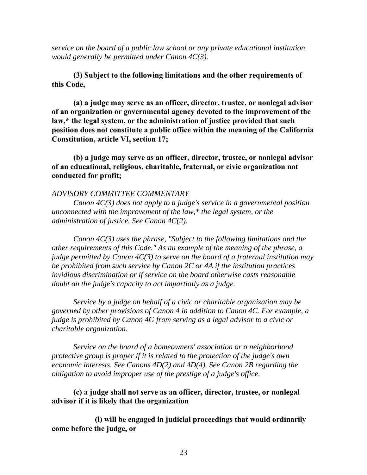*service on the board of a public law school or any private educational institution would generally be permitted under Canon 4C(3).* 

# **(3) Subject to the following limitations and the other requirements of this Code,**

 **(a) a judge may serve as an officer, director, trustee, or nonlegal advisor of an organization or governmental agency devoted to the improvement of the law,\* the legal system, or the administration of justice provided that such position does not constitute a public office within the meaning of the California Constitution, article VI, section 17;** 

 **(b) a judge may serve as an officer, director, trustee, or nonlegal advisor of an educational, religious, charitable, fraternal, or civic organization not conducted for profit;** 

# *ADVISORY COMMITTEE COMMENTARY*

 *Canon 4C(3) does not apply to a judge's service in a governmental position unconnected with the improvement of the law,\* the legal system, or the administration of justice. See Canon 4C(2).* 

 *Canon 4C(3) uses the phrase, "Subject to the following limitations and the other requirements of this Code." As an example of the meaning of the phrase, a judge permitted by Canon 4C(3) to serve on the board of a fraternal institution may be prohibited from such service by Canon 2C or 4A if the institution practices invidious discrimination or if service on the board otherwise casts reasonable doubt on the judge's capacity to act impartially as a judge.* 

 *Service by a judge on behalf of a civic or charitable organization may be governed by other provisions of Canon 4 in addition to Canon 4C. For example, a judge is prohibited by Canon 4G from serving as a legal advisor to a civic or charitable organization.* 

 *Service on the board of a homeowners' association or a neighborhood protective group is proper if it is related to the protection of the judge's own economic interests. See Canons 4D(2) and 4D(4). See Canon 2B regarding the obligation to avoid improper use of the prestige of a judge's office.* 

 **(c) a judge shall not serve as an officer, director, trustee, or nonlegal advisor if it is likely that the organization** 

 **(i) will be engaged in judicial proceedings that would ordinarily come before the judge, or**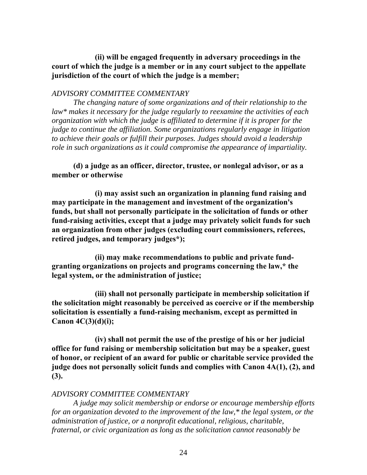**(ii) will be engaged frequently in adversary proceedings in the court of which the judge is a member or in any court subject to the appellate jurisdiction of the court of which the judge is a member;** 

## *ADVISORY COMMITTEE COMMENTARY*

 *The changing nature of some organizations and of their relationship to the law\* makes it necessary for the judge regularly to reexamine the activities of each organization with which the judge is affiliated to determine if it is proper for the judge to continue the affiliation. Some organizations regularly engage in litigation to achieve their goals or fulfill their purposes. Judges should avoid a leadership role in such organizations as it could compromise the appearance of impartiality.* 

# **(d) a judge as an officer, director, trustee, or nonlegal advisor, or as a member or otherwise**

 **(i) may assist such an organization in planning fund raising and may participate in the management and investment of the organization's funds, but shall not personally participate in the solicitation of funds or other fund-raising activities, except that a judge may privately solicit funds for such an organization from other judges (excluding court commissioners, referees, retired judges, and temporary judges\*);** 

 **(ii) may make recommendations to public and private fundgranting organizations on projects and programs concerning the law,\* the legal system, or the administration of justice;** 

 **(iii) shall not personally participate in membership solicitation if the solicitation might reasonably be perceived as coercive or if the membership solicitation is essentially a fund-raising mechanism, except as permitted in Canon 4C(3)(d)(i);**

 **(iv) shall not permit the use of the prestige of his or her judicial office for fund raising or membership solicitation but may be a speaker, guest of honor, or recipient of an award for public or charitable service provided the judge does not personally solicit funds and complies with Canon 4A(1), (2), and (3).** 

### *ADVISORY COMMITTEE COMMENTARY*

 *A judge may solicit membership or endorse or encourage membership efforts for an organization devoted to the improvement of the law,\* the legal system, or the administration of justice, or a nonprofit educational, religious, charitable, fraternal, or civic organization as long as the solicitation cannot reasonably be*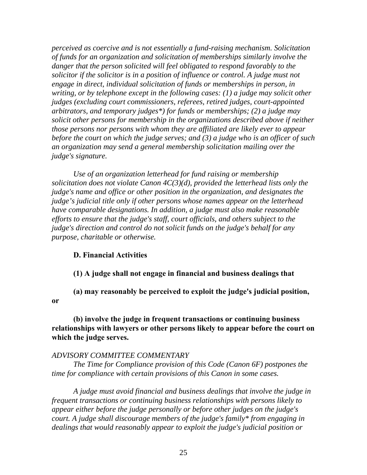*perceived as coercive and is not essentially a fund-raising mechanism. Solicitation of funds for an organization and solicitation of memberships similarly involve the danger that the person solicited will feel obligated to respond favorably to the solicitor if the solicitor is in a position of influence or control. A judge must not engage in direct, individual solicitation of funds or memberships in person, in writing, or by telephone except in the following cases: (1) a judge may solicit other judges (excluding court commissioners, referees, retired judges, court-appointed arbitrators, and temporary judges\*) for funds or memberships; (2) a judge may solicit other persons for membership in the organizations described above if neither those persons nor persons with whom they are affiliated are likely ever to appear before the court on which the judge serves; and (3) a judge who is an officer of such an organization may send a general membership solicitation mailing over the judge's signature.* 

 *Use of an organization letterhead for fund raising or membership solicitation does not violate Canon 4C(3)(d), provided the letterhead lists only the judge's name and office or other position in the organization, and designates the judge's judicial title only if other persons whose names appear on the letterhead have comparable designations. In addition, a judge must also make reasonable efforts to ensure that the judge's staff, court officials, and others subject to the judge's direction and control do not solicit funds on the judge's behalf for any purpose, charitable or otherwise.*

## **D. Financial Activities**

 **(1) A judge shall not engage in financial and business dealings that** 

 **(a) may reasonably be perceived to exploit the judge's judicial position, or** 

 **(b) involve the judge in frequent transactions or continuing business relationships with lawyers or other persons likely to appear before the court on which the judge serves.** 

### *ADVISORY COMMITTEE COMMENTARY*

 *The Time for Compliance provision of this Code (Canon 6F) postpones the time for compliance with certain provisions of this Canon in some cases.*

 *A judge must avoid financial and business dealings that involve the judge in frequent transactions or continuing business relationships with persons likely to appear either before the judge personally or before other judges on the judge's court. A judge shall discourage members of the judge's family\* from engaging in dealings that would reasonably appear to exploit the judge's judicial position or*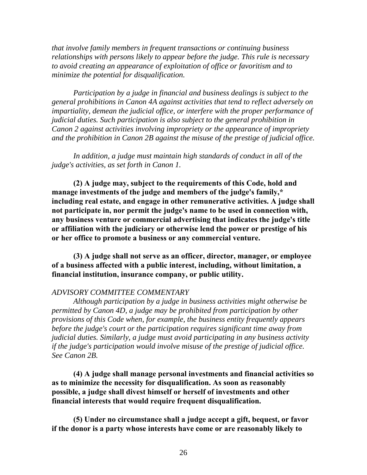*that involve family members in frequent transactions or continuing business relationships with persons likely to appear before the judge. This rule is necessary to avoid creating an appearance of exploitation of office or favoritism and to minimize the potential for disqualification.* 

 *Participation by a judge in financial and business dealings is subject to the general prohibitions in Canon 4A against activities that tend to reflect adversely on impartiality, demean the judicial office, or interfere with the proper performance of judicial duties. Such participation is also subject to the general prohibition in Canon 2 against activities involving impropriety or the appearance of impropriety and the prohibition in Canon 2B against the misuse of the prestige of judicial office.* 

 *In addition, a judge must maintain high standards of conduct in all of the judge's activities, as set forth in Canon 1.* 

 **(2) A judge may, subject to the requirements of this Code, hold and manage investments of the judge and members of the judge's family,\* including real estate, and engage in other remunerative activities. A judge shall not participate in, nor permit the judge's name to be used in connection with, any business venture or commercial advertising that indicates the judge's title or affiliation with the judiciary or otherwise lend the power or prestige of his or her office to promote a business or any commercial venture.** 

 **(3) A judge shall not serve as an officer, director, manager, or employee of a business affected with a public interest, including, without limitation, a financial institution, insurance company, or public utility.**

### *ADVISORY COMMITTEE COMMENTARY*

 *Although participation by a judge in business activities might otherwise be permitted by Canon 4D, a judge may be prohibited from participation by other provisions of this Code when, for example, the business entity frequently appears before the judge's court or the participation requires significant time away from judicial duties. Similarly, a judge must avoid participating in any business activity if the judge's participation would involve misuse of the prestige of judicial office. See Canon 2B.* 

 **(4) A judge shall manage personal investments and financial activities so as to minimize the necessity for disqualification. As soon as reasonably possible, a judge shall divest himself or herself of investments and other financial interests that would require frequent disqualification.** 

 **(5) Under no circumstance shall a judge accept a gift, bequest, or favor if the donor is a party whose interests have come or are reasonably likely to**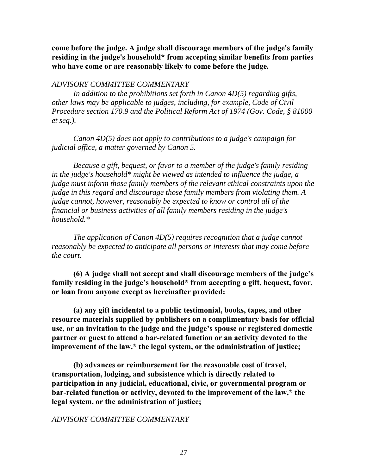**come before the judge. A judge shall discourage members of the judge's family residing in the judge's household\* from accepting similar benefits from parties who have come or are reasonably likely to come before the judge.** 

#### *ADVISORY COMMITTEE COMMENTARY*

 *In addition to the prohibitions set forth in Canon 4D(5) regarding gifts, other laws may be applicable to judges, including, for example, Code of Civil Procedure section 170.9 and the Political Reform Act of 1974 (Gov. Code, § 81000 et seq.).* 

 *Canon 4D(5) does not apply to contributions to a judge's campaign for judicial office, a matter governed by Canon 5.*

 *Because a gift, bequest, or favor to a member of the judge's family residing in the judge's household\* might be viewed as intended to influence the judge, a judge must inform those family members of the relevant ethical constraints upon the judge in this regard and discourage those family members from violating them. A judge cannot, however, reasonably be expected to know or control all of the financial or business activities of all family members residing in the judge's household.\** 

 *The application of Canon 4D(5) requires recognition that a judge cannot reasonably be expected to anticipate all persons or interests that may come before the court.* 

**(6) A judge shall not accept and shall discourage members of the judge's family residing in the judge's household\* from accepting a gift, bequest, favor, or loan from anyone except as hereinafter provided:**

 **(a) any gift incidental to a public testimonial, books, tapes, and other resource materials supplied by publishers on a complimentary basis for official use, or an invitation to the judge and the judge's spouse or registered domestic partner or guest to attend a bar-related function or an activity devoted to the improvement of the law,\* the legal system, or the administration of justice;** 

 **(b) advances or reimbursement for the reasonable cost of travel, transportation, lodging, and subsistence which is directly related to participation in any judicial, educational, civic, or governmental program or bar-related function or activity, devoted to the improvement of the law,\* the legal system, or the administration of justice;** 

# *ADVISORY COMMITTEE COMMENTARY*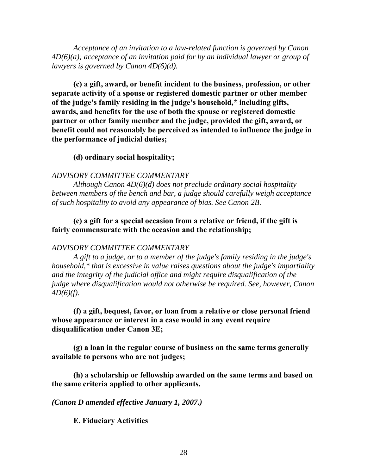*Acceptance of an invitation to a law-related function is governed by Canon 4D(6)(a); acceptance of an invitation paid for by an individual lawyer or group of lawyers is governed by Canon 4D(6)(d).* 

 **(c) a gift, award, or benefit incident to the business, profession, or other separate activity of a spouse or registered domestic partner or other member of the judge's family residing in the judge's household,\* including gifts, awards, and benefits for the use of both the spouse or registered domestic partner or other family member and the judge, provided the gift, award, or benefit could not reasonably be perceived as intended to influence the judge in the performance of judicial duties;** 

 **(d) ordinary social hospitality;** 

### *ADVISORY COMMITTEE COMMENTARY*

*Although Canon 4D(6)(d) does not preclude ordinary social hospitality between members of the bench and bar, a judge should carefully weigh acceptance of such hospitality to avoid any appearance of bias. See Canon 2B.* 

# **(e) a gift for a special occasion from a relative or friend, if the gift is fairly commensurate with the occasion and the relationship;**

#### *ADVISORY COMMITTEE COMMENTARY*

 *A gift to a judge, or to a member of the judge's family residing in the judge's household,\* that is excessive in value raises questions about the judge's impartiality and the integrity of the judicial office and might require disqualification of the judge where disqualification would not otherwise be required. See, however, Canon 4D(6)(f).* 

 **(f) a gift, bequest, favor, or loan from a relative or close personal friend whose appearance or interest in a case would in any event require disqualification under Canon 3E;** 

 **(g) a loan in the regular course of business on the same terms generally available to persons who are not judges;** 

 **(h) a scholarship or fellowship awarded on the same terms and based on the same criteria applied to other applicants.** 

*(Canon D amended effective January 1, 2007.)* 

 **E. Fiduciary Activities**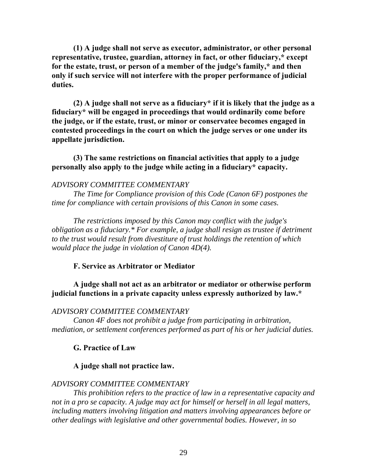**(1) A judge shall not serve as executor, administrator, or other personal representative, trustee, guardian, attorney in fact, or other fiduciary,\* except for the estate, trust, or person of a member of the judge's family,\* and then only if such service will not interfere with the proper performance of judicial duties.** 

 **(2) A judge shall not serve as a fiduciary\* if it is likely that the judge as a fiduciary\* will be engaged in proceedings that would ordinarily come before the judge, or if the estate, trust, or minor or conservatee becomes engaged in contested proceedings in the court on which the judge serves or one under its appellate jurisdiction.** 

 **(3) The same restrictions on financial activities that apply to a judge personally also apply to the judge while acting in a fiduciary\* capacity.** 

#### *ADVISORY COMMITTEE COMMENTARY*

 *The Time for Compliance provision of this Code (Canon 6F) postpones the time for compliance with certain provisions of this Canon in some cases.* 

 *The restrictions imposed by this Canon may conflict with the judge's obligation as a fiduciary.\* For example, a judge shall resign as trustee if detriment to the trust would result from divestiture of trust holdings the retention of which would place the judge in violation of Canon 4D(4).* 

## **F. Service as Arbitrator or Mediator**

# **A judge shall not act as an arbitrator or mediator or otherwise perform judicial functions in a private capacity unless expressly authorized by law.\***

#### *ADVISORY COMMITTEE COMMENTARY*

 *Canon 4F does not prohibit a judge from participating in arbitration, mediation, or settlement conferences performed as part of his or her judicial duties.*

## **G. Practice of Law**

## **A judge shall not practice law.**

#### *ADVISORY COMMITTEE COMMENTARY*

 *This prohibition refers to the practice of law in a representative capacity and not in a pro se capacity. A judge may act for himself or herself in all legal matters, including matters involving litigation and matters involving appearances before or other dealings with legislative and other governmental bodies. However, in so*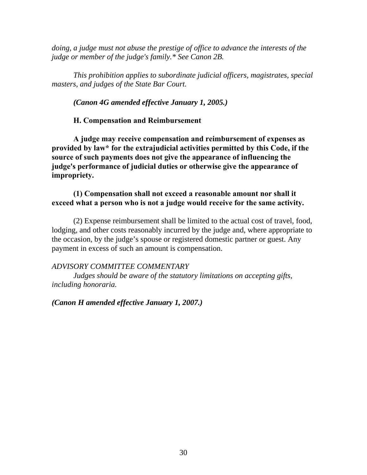*doing, a judge must not abuse the prestige of office to advance the interests of the judge or member of the judge's family.\* See Canon 2B.* 

 *This prohibition applies to subordinate judicial officers, magistrates, special masters, and judges of the State Bar Court.* 

*(Canon 4G amended effective January 1, 2005.)* 

## **H. Compensation and Reimbursement**

 **A judge may receive compensation and reimbursement of expenses as provided by law\* for the extrajudicial activities permitted by this Code, if the source of such payments does not give the appearance of influencing the judge's performance of judicial duties or otherwise give the appearance of impropriety.** 

# **(1) Compensation shall not exceed a reasonable amount nor shall it exceed what a person who is not a judge would receive for the same activity.**

(2) Expense reimbursement shall be limited to the actual cost of travel, food, lodging, and other costs reasonably incurred by the judge and, where appropriate to the occasion, by the judge's spouse or registered domestic partner or guest. Any payment in excess of such an amount is compensation.

# *ADVISORY COMMITTEE COMMENTARY*

 *Judges should be aware of the statutory limitations on accepting gifts, including honoraria.* 

*(Canon H amended effective January 1, 2007.)*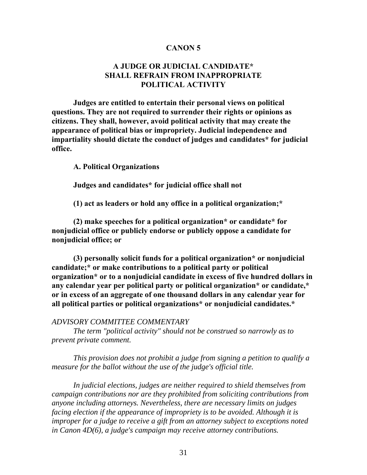### **CANON 5**

# **A JUDGE OR JUDICIAL CANDIDATE\* SHALL REFRAIN FROM INAPPROPRIATE POLITICAL ACTIVITY**

 **Judges are entitled to entertain their personal views on political questions. They are not required to surrender their rights or opinions as citizens. They shall, however, avoid political activity that may create the appearance of political bias or impropriety. Judicial independence and impartiality should dictate the conduct of judges and candidates\* for judicial office.** 

 **A. Political Organizations** 

 **Judges and candidates\* for judicial office shall not** 

 **(1) act as leaders or hold any office in a political organization;\*** 

 **(2) make speeches for a political organization\* or candidate\* for nonjudicial office or publicly endorse or publicly oppose a candidate for nonjudicial office; or** 

 **(3) personally solicit funds for a political organization\* or nonjudicial candidate;\* or make contributions to a political party or political organization\* or to a nonjudicial candidate in excess of five hundred dollars in any calendar year per political party or political organization\* or candidate,\* or in excess of an aggregate of one thousand dollars in any calendar year for all political parties or political organizations\* or nonjudicial candidates.\*** 

#### *ADVISORY COMMITTEE COMMENTARY*

 *The term "political activity" should not be construed so narrowly as to prevent private comment.* 

 *This provision does not prohibit a judge from signing a petition to qualify a measure for the ballot without the use of the judge's official title.* 

 *In judicial elections, judges are neither required to shield themselves from campaign contributions nor are they prohibited from soliciting contributions from anyone including attorneys. Nevertheless, there are necessary limits on judges facing election if the appearance of impropriety is to be avoided. Although it is improper for a judge to receive a gift from an attorney subject to exceptions noted in Canon 4D(6), a judge's campaign may receive attorney contributions.*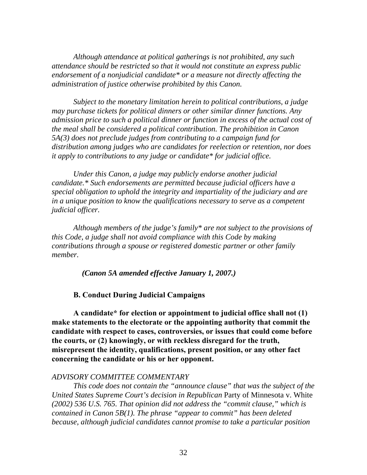*Although attendance at political gatherings is not prohibited, any such attendance should be restricted so that it would not constitute an express public endorsement of a nonjudicial candidate\* or a measure not directly affecting the administration of justice otherwise prohibited by this Canon.* 

 *Subject to the monetary limitation herein to political contributions, a judge may purchase tickets for political dinners or other similar dinner functions. Any admission price to such a political dinner or function in excess of the actual cost of the meal shall be considered a political contribution. The prohibition in Canon 5A(3) does not preclude judges from contributing to a campaign fund for distribution among judges who are candidates for reelection or retention, nor does it apply to contributions to any judge or candidate\* for judicial office.*

 *Under this Canon, a judge may publicly endorse another judicial candidate.\* Such endorsements are permitted because judicial officers have a special obligation to uphold the integrity and impartiality of the judiciary and are in a unique position to know the qualifications necessary to serve as a competent judicial officer.*

 *Although members of the judge's family\* are not subject to the provisions of this Code, a judge shall not avoid compliance with this Code by making contributions through a spouse or registered domestic partner or other family member.*

*(Canon 5A amended effective January 1, 2007.)* 

 **B. Conduct During Judicial Campaigns** 

 **A candidate\* for election or appointment to judicial office shall not (1) make statements to the electorate or the appointing authority that commit the candidate with respect to cases, controversies, or issues that could come before the courts, or (2) knowingly, or with reckless disregard for the truth, misrepresent the identity, qualifications, present position, or any other fact concerning the candidate or his or her opponent.** 

### *ADVISORY COMMITTEE COMMENTARY*

*This code does not contain the "announce clause" that was the subject of the United States Supreme Court's decision in Republican Party of Minnesota v. White (2002) 536 U.S. 765. That opinion did not address the "commit clause," which is contained in Canon 5B(1). The phrase "appear to commit" has been deleted because, although judicial candidates cannot promise to take a particular position*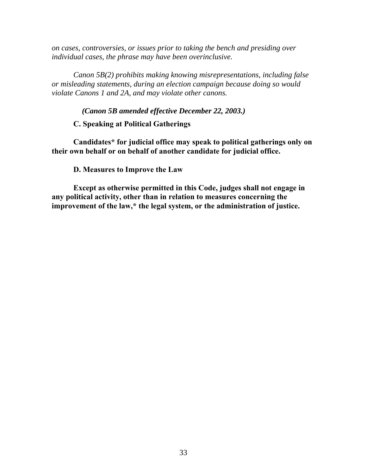*on cases, controversies, or issues prior to taking the bench and presiding over individual cases, the phrase may have been overinclusive.* 

*Canon 5B(2) prohibits making knowing misrepresentations, including false or misleading statements, during an election campaign because doing so would violate Canons 1 and 2A, and may violate other canons.* 

*(Canon 5B amended effective December 22, 2003.)*

 **C. Speaking at Political Gatherings** 

 **Candidates\* for judicial office may speak to political gatherings only on their own behalf or on behalf of another candidate for judicial office.** 

 **D. Measures to Improve the Law** 

 **Except as otherwise permitted in this Code, judges shall not engage in any political activity, other than in relation to measures concerning the improvement of the law,\* the legal system, or the administration of justice.**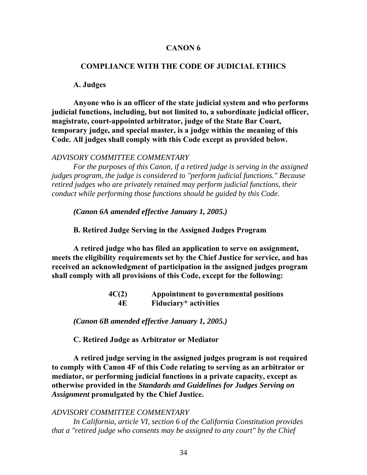### **CANON 6**

## **COMPLIANCE WITH THE CODE OF JUDICIAL ETHICS**

#### **A. Judges**

**Anyone who is an officer of the state judicial system and who performs judicial functions, including, but not limited to, a subordinate judicial officer, magistrate, court-appointed arbitrator, judge of the State Bar Court, temporary judge, and special master, is a judge within the meaning of this Code. All judges shall comply with this Code except as provided below.** 

#### *ADVISORY COMMITTEE COMMENTARY*

 *For the purposes of this Canon, if a retired judge is serving in the assigned judges program, the judge is considered to "perform judicial functions." Because retired judges who are privately retained may perform judicial functions, their conduct while performing those functions should be guided by this Code.* 

*(Canon 6A amended effective January 1, 2005.)* 

 **B. Retired Judge Serving in the Assigned Judges Program** 

 **A retired judge who has filed an application to serve on assignment, meets the eligibility requirements set by the Chief Justice for service, and has received an acknowledgment of participation in the assigned judges program shall comply with all provisions of this Code, except for the following:** 

| 4C(2) | Appointment to governmental positions |
|-------|---------------------------------------|
| 4E    | Fiduciary* activities                 |

 *(Canon 6B amended effective January 1, 2005.)* 

**C. Retired Judge as Arbitrator or Mediator** 

 **A retired judge serving in the assigned judges program is not required to comply with Canon 4F of this Code relating to serving as an arbitrator or mediator, or performing judicial functions in a private capacity, except as otherwise provided in the** *Standards and Guidelines for Judges Serving on Assignment* **promulgated by the Chief Justice.** 

## *ADVISORY COMMITTEE COMMENTARY*

 *In California, article VI, section 6 of the California Constitution provides that a "retired judge who consents may be assigned to any court" by the Chief*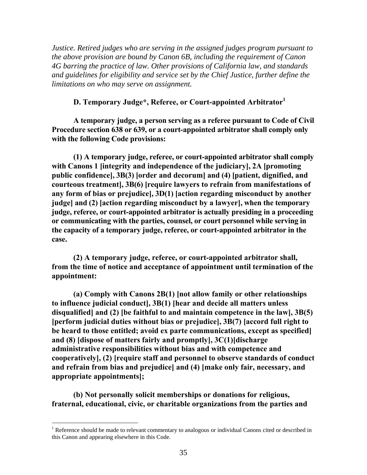*Justice. Retired judges who are serving in the assigned judges program pursuant to the above provision are bound by Canon 6B, including the requirement of Canon 4G barring the practice of law. Other provisions of California law, and standards and guidelines for eligibility and service set by the Chief Justice, further define the limitations on who may serve on assignment.*

## **D. Temporary Judge\*, Referee, or Court-appointed Arbitrator<sup>1</sup>**

 **A temporary judge, a person serving as a referee pursuant to Code of Civil Procedure section 638 or 639, or a court-appointed arbitrator shall comply only with the following Code provisions:** 

**(1) A temporary judge, referee, or court-appointed arbitrator shall comply with Canons 1 [integrity and independence of the judiciary], 2A [promoting public confidence], 3B(3) [order and decorum] and (4) [patient, dignified, and courteous treatment], 3B(6) [require lawyers to refrain from manifestations of any form of bias or prejudice], 3D(1) [action regarding misconduct by another judge] and (2) [action regarding misconduct by a lawyer], when the temporary judge, referee, or court-appointed arbitrator is actually presiding in a proceeding or communicating with the parties, counsel, or court personnel while serving in the capacity of a temporary judge, referee, or court-appointed arbitrator in the case.** 

 **(2) A temporary judge, referee, or court-appointed arbitrator shall, from the time of notice and acceptance of appointment until termination of the appointment:** 

 **(a) Comply with Canons 2B(1) [not allow family or other relationships to influence judicial conduct], 3B(1) [hear and decide all matters unless disqualified] and (2) [be faithful to and maintain competence in the law], 3B(5) [perform judicial duties without bias or prejudice], 3B(7) [accord full right to be heard to those entitled; avoid ex parte communications, except as specified] and (8) [dispose of matters fairly and promptly], 3C(1)[discharge administrative responsibilities without bias and with competence and cooperatively], (2) [require staff and personnel to observe standards of conduct and refrain from bias and prejudice] and (4) [make only fair, necessary, and appropriate appointments];** 

 **(b) Not personally solicit memberships or donations for religious, fraternal, educational, civic, or charitable organizations from the parties and**

l

<sup>&</sup>lt;sup>1</sup> Reference should be made to relevant commentary to analogous or individual Canons cited or described in this Canon and appearing elsewhere in this Code.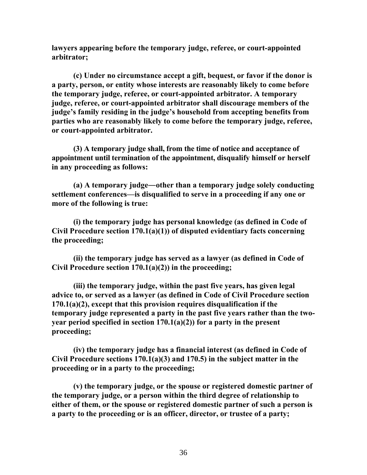**lawyers appearing before the temporary judge, referee, or court-appointed arbitrator;** 

 **(c) Under no circumstance accept a gift, bequest, or favor if the donor is a party, person, or entity whose interests are reasonably likely to come before the temporary judge, referee, or court-appointed arbitrator. A temporary judge, referee, or court-appointed arbitrator shall discourage members of the judge's family residing in the judge's household from accepting benefits from parties who are reasonably likely to come before the temporary judge, referee, or court-appointed arbitrator.** 

 **(3) A temporary judge shall, from the time of notice and acceptance of appointment until termination of the appointment, disqualify himself or herself in any proceeding as follows:** 

 **(a) A temporary judge―other than a temporary judge solely conducting settlement conferences—is disqualified to serve in a proceeding if any one or more of the following is true:** 

 **(i) the temporary judge has personal knowledge (as defined in Code of Civil Procedure section 170.1(a)(1)) of disputed evidentiary facts concerning the proceeding;** 

 **(ii) the temporary judge has served as a lawyer (as defined in Code of Civil Procedure section 170.1(a)(2)) in the proceeding;** 

 **(iii) the temporary judge, within the past five years, has given legal advice to, or served as a lawyer (as defined in Code of Civil Procedure section 170.1(a)(2), except that this provision requires disqualification if the temporary judge represented a party in the past five years rather than the twoyear period specified in section 170.1(a)(2)) for a party in the present proceeding;** 

 **(iv) the temporary judge has a financial interest (as defined in Code of Civil Procedure sections 170.1(a)(3) and 170.5) in the subject matter in the proceeding or in a party to the proceeding;** 

 **(v) the temporary judge, or the spouse or registered domestic partner of the temporary judge, or a person within the third degree of relationship to either of them, or the spouse or registered domestic partner of such a person is a party to the proceeding or is an officer, director, or trustee of a party;**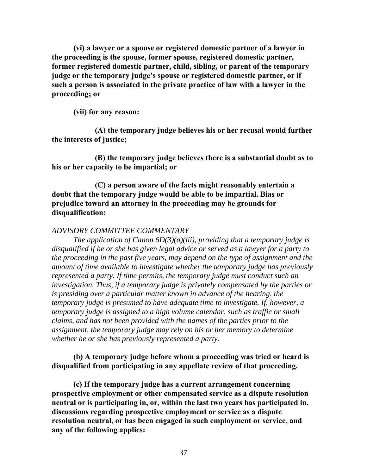**(vi) a lawyer or a spouse or registered domestic partner of a lawyer in the proceeding is the spouse, former spouse, registered domestic partner, former registered domestic partner, child, sibling, or parent of the temporary judge or the temporary judge's spouse or registered domestic partner, or if such a person is associated in the private practice of law with a lawyer in the proceeding; or** 

 **(vii) for any reason:** 

 **(A) the temporary judge believes his or her recusal would further the interests of justice;** 

 **(B) the temporary judge believes there is a substantial doubt as to his or her capacity to be impartial; or** 

 **(C) a person aware of the facts might reasonably entertain a doubt that the temporary judge would be able to be impartial. Bias or prejudice toward an attorney in the proceeding may be grounds for disqualification;** 

## *ADVISORY COMMITTEE COMMENTARY*

 *The application of Canon 6D(3)(a)(iii), providing that a temporary judge is disqualified if he or she has given legal advice or served as a lawyer for a party to the proceeding in the past five years, may depend on the type of assignment and the amount of time available to investigate whether the temporary judge has previously represented a party. If time permits, the temporary judge must conduct such an investigation. Thus, if a temporary judge is privately compensated by the parties or is presiding over a particular matter known in advance of the hearing, the temporary judge is presumed to have adequate time to investigate. If, however, a temporary judge is assigned to a high volume calendar, such as traffic or small claims, and has not been provided with the names of the parties prior to the assignment, the temporary judge may rely on his or her memory to determine whether he or she has previously represented a party.* 

# **(b) A temporary judge before whom a proceeding was tried or heard is disqualified from participating in any appellate review of that proceeding.**

 **(c) If the temporary judge has a current arrangement concerning prospective employment or other compensated service as a dispute resolution neutral or is participating in, or, within the last two years has participated in, discussions regarding prospective employment or service as a dispute resolution neutral, or has been engaged in such employment or service, and any of the following applies:**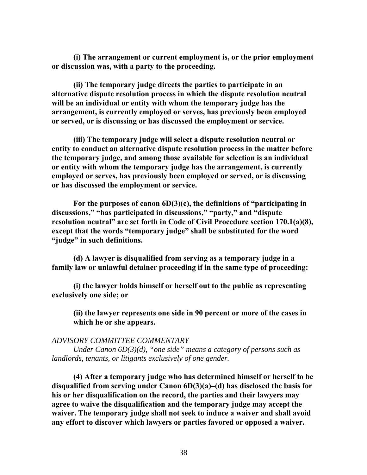**(i) The arrangement or current employment is, or the prior employment or discussion was, with a party to the proceeding.** 

 **(ii) The temporary judge directs the parties to participate in an alternative dispute resolution process in which the dispute resolution neutral will be an individual or entity with whom the temporary judge has the arrangement, is currently employed or serves, has previously been employed or served, or is discussing or has discussed the employment or service.** 

 **(iii) The temporary judge will select a dispute resolution neutral or entity to conduct an alternative dispute resolution process in the matter before the temporary judge, and among those available for selection is an individual or entity with whom the temporary judge has the arrangement, is currently employed or serves, has previously been employed or served, or is discussing or has discussed the employment or service.** 

 **For the purposes of canon 6D(3)(c), the definitions of "participating in discussions," "has participated in discussions," "party," and "dispute resolution neutral" are set forth in Code of Civil Procedure section 170.1(a)(8), except that the words "temporary judge" shall be substituted for the word "judge" in such definitions.** 

 **(d) A lawyer is disqualified from serving as a temporary judge in a family law or unlawful detainer proceeding if in the same type of proceeding:** 

**(i) the lawyer holds himself or herself out to the public as representing exclusively one side; or** 

**(ii) the lawyer represents one side in 90 percent or more of the cases in which he or she appears.** 

### *ADVISORY COMMITTEE COMMENTARY*

 *Under Canon 6D(3)(d), "one side" means a category of persons such as landlords, tenants, or litigants exclusively of one gender.* 

 **(4) After a temporary judge who has determined himself or herself to be disqualified from serving under Canon 6D(3)(a)–(d) has disclosed the basis for his or her disqualification on the record, the parties and their lawyers may agree to waive the disqualification and the temporary judge may accept the waiver. The temporary judge shall not seek to induce a waiver and shall avoid any effort to discover which lawyers or parties favored or opposed a waiver.**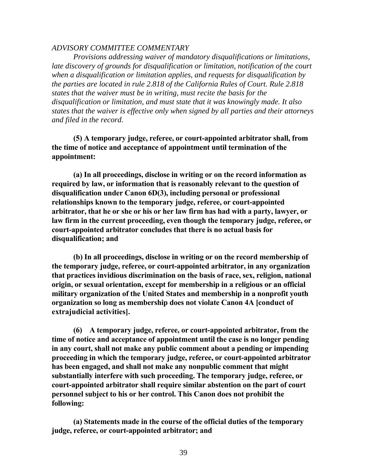#### *ADVISORY COMMITTEE COMMENTARY*

 *Provisions addressing waiver of mandatory disqualifications or limitations, late discovery of grounds for disqualification or limitation, notification of the court when a disqualification or limitation applies, and requests for disqualification by the parties are located in rule 2.818 of the California Rules of Court. Rule 2.818 states that the waiver must be in writing, must recite the basis for the disqualification or limitation, and must state that it was knowingly made. It also states that the waiver is effective only when signed by all parties and their attorneys and filed in the record.* 

 **(5) A temporary judge, referee, or court-appointed arbitrator shall, from the time of notice and acceptance of appointment until termination of the appointment:** 

 **(a) In all proceedings, disclose in writing or on the record information as required by law, or information that is reasonably relevant to the question of disqualification under Canon 6D(3), including personal or professional relationships known to the temporary judge, referee, or court-appointed arbitrator, that he or she or his or her law firm has had with a party, lawyer, or law firm in the current proceeding, even though the temporary judge, referee, or court-appointed arbitrator concludes that there is no actual basis for disqualification; and** 

 **(b) In all proceedings, disclose in writing or on the record membership of the temporary judge, referee, or court-appointed arbitrator, in any organization that practices invidious discrimination on the basis of race, sex, religion, national origin, or sexual orientation, except for membership in a religious or an official military organization of the United States and membership in a nonprofit youth organization so long as membership does not violate Canon 4A [conduct of extrajudicial activities].** 

 **(6) A temporary judge, referee, or court-appointed arbitrator, from the time of notice and acceptance of appointment until the case is no longer pending in any court, shall not make any public comment about a pending or impending proceeding in which the temporary judge, referee, or court-appointed arbitrator has been engaged, and shall not make any nonpublic comment that might substantially interfere with such proceeding. The temporary judge, referee, or court-appointed arbitrator shall require similar abstention on the part of court personnel subject to his or her control. This Canon does not prohibit the following:** 

 **(a) Statements made in the course of the official duties of the temporary judge, referee, or court-appointed arbitrator; and**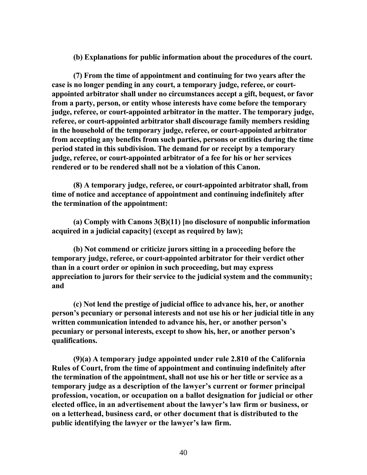**(b) Explanations for public information about the procedures of the court.** 

 **(7) From the time of appointment and continuing for two years after the case is no longer pending in any court, a temporary judge, referee, or courtappointed arbitrator shall under no circumstances accept a gift, bequest, or favor from a party, person, or entity whose interests have come before the temporary judge, referee, or court-appointed arbitrator in the matter. The temporary judge, referee, or court-appointed arbitrator shall discourage family members residing in the household of the temporary judge, referee, or court-appointed arbitrator from accepting any benefits from such parties, persons or entities during the time period stated in this subdivision. The demand for or receipt by a temporary judge, referee, or court-appointed arbitrator of a fee for his or her services rendered or to be rendered shall not be a violation of this Canon.** 

 **(8) A temporary judge, referee, or court-appointed arbitrator shall, from time of notice and acceptance of appointment and continuing indefinitely after the termination of the appointment:** 

 **(a) Comply with Canons 3(B)(11) [no disclosure of nonpublic information acquired in a judicial capacity] (except as required by law);** 

 **(b) Not commend or criticize jurors sitting in a proceeding before the temporary judge, referee, or court-appointed arbitrator for their verdict other than in a court order or opinion in such proceeding, but may express appreciation to jurors for their service to the judicial system and the community; and** 

 **(c) Not lend the prestige of judicial office to advance his, her, or another person's pecuniary or personal interests and not use his or her judicial title in any written communication intended to advance his, her, or another person's pecuniary or personal interests, except to show his, her, or another person's qualifications.** 

 **(9)(a) A temporary judge appointed under rule 2.810 of the California Rules of Court, from the time of appointment and continuing indefinitely after the termination of the appointment, shall not use his or her title or service as a temporary judge as a description of the lawyer's current or former principal profession, vocation, or occupation on a ballot designation for judicial or other elected office, in an advertisement about the lawyer's law firm or business, or on a letterhead, business card, or other document that is distributed to the public identifying the lawyer or the lawyer's law firm.**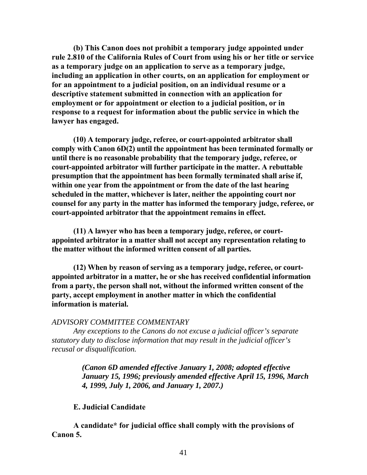**(b) This Canon does not prohibit a temporary judge appointed under rule 2.810 of the California Rules of Court from using his or her title or service as a temporary judge on an application to serve as a temporary judge, including an application in other courts, on an application for employment or for an appointment to a judicial position, on an individual resume or a descriptive statement submitted in connection with an application for employment or for appointment or election to a judicial position, or in response to a request for information about the public service in which the lawyer has engaged.** 

 **(10) A temporary judge, referee, or court-appointed arbitrator shall comply with Canon 6D(2) until the appointment has been terminated formally or until there is no reasonable probability that the temporary judge, referee, or court-appointed arbitrator will further participate in the matter. A rebuttable presumption that the appointment has been formally terminated shall arise if, within one year from the appointment or from the date of the last hearing scheduled in the matter, whichever is later, neither the appointing court nor counsel for any party in the matter has informed the temporary judge, referee, or court-appointed arbitrator that the appointment remains in effect.** 

 **(11) A lawyer who has been a temporary judge, referee, or courtappointed arbitrator in a matter shall not accept any representation relating to the matter without the informed written consent of all parties.** 

 **(12) When by reason of serving as a temporary judge, referee, or courtappointed arbitrator in a matter, he or she has received confidential information from a party, the person shall not, without the informed written consent of the party, accept employment in another matter in which the confidential information is material.** 

### *ADVISORY COMMITTEE COMMENTARY*

 *Any exceptions to the Canons do not excuse a judicial officer's separate statutory duty to disclose information that may result in the judicial officer's recusal or disqualification.* 

> *(Canon 6D amended effective January 1, 2008; adopted effective January 15, 1996; previously amended effective April 15, 1996, March 4, 1999, July 1, 2006, and January 1, 2007.)*

## **E. Judicial Candidate**

 **A candidate\* for judicial office shall comply with the provisions of Canon 5.**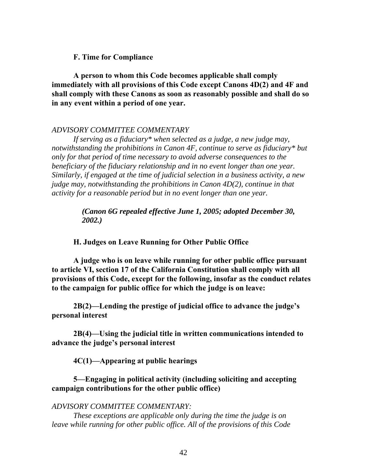## **F. Time for Compliance**

 **A person to whom this Code becomes applicable shall comply immediately with all provisions of this Code except Canons 4D(2) and 4F and shall comply with these Canons as soon as reasonably possible and shall do so in any event within a period of one year.** 

# *ADVISORY COMMITTEE COMMENTARY*

 *If serving as a fiduciary\* when selected as a judge, a new judge may, notwithstanding the prohibitions in Canon 4F, continue to serve as fiduciary\* but only for that period of time necessary to avoid adverse consequences to the beneficiary of the fiduciary relationship and in no event longer than one year. Similarly, if engaged at the time of judicial selection in a business activity, a new judge may, notwithstanding the prohibitions in Canon 4D(2), continue in that activity for a reasonable period but in no event longer than one year.* 

# *(Canon 6G repealed effective June 1, 2005; adopted December 30, 2002.)*

# **H. Judges on Leave Running for Other Public Office**

 **A judge who is on leave while running for other public office pursuant to article VI, section 17 of the California Constitution shall comply with all provisions of this Code, except for the following, insofar as the conduct relates to the campaign for public office for which the judge is on leave:** 

**2B(2)—Lending the prestige of judicial office to advance the judge's personal interest** 

**2B(4)—Using the judicial title in written communications intended to advance the judge's personal interest** 

**4C(1)—Appearing at public hearings** 

# **5—Engaging in political activity (including soliciting and accepting campaign contributions for the other public office)**

# *ADVISORY COMMITTEE COMMENTARY:*

 *These exceptions are applicable only during the time the judge is on leave while running for other public office. All of the provisions of this Code*